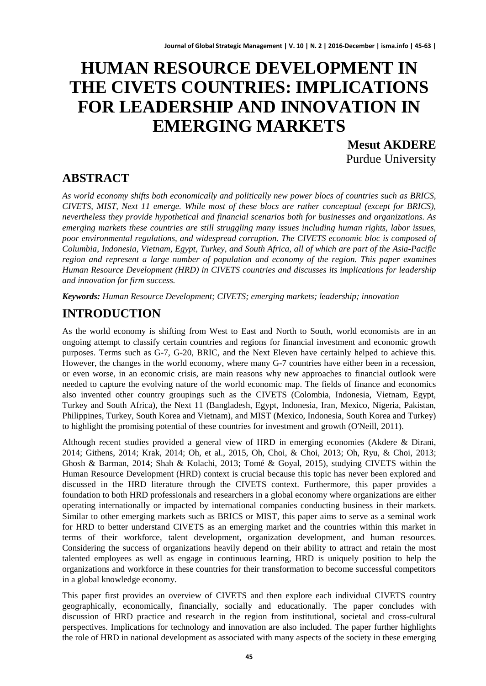# **HUMAN RESOURCE DEVELOPMENT IN THE CIVETS COUNTRIES: IMPLICATIONS FOR LEADERSHIP AND INNOVATION IN EMERGING MARKETS**

**Mesut AKDERE** Purdue University

### **ABSTRACT**

*As world economy shifts both economically and politically new power blocs of countries such as BRICS, CIVETS, MIST, Next 11 emerge. While most of these blocs are rather conceptual (except for BRICS), nevertheless they provide hypothetical and financial scenarios both for businesses and organizations. As emerging markets these countries are still struggling many issues including human rights, labor issues, poor environmental regulations, and widespread corruption. The CIVETS economic bloc is composed of Columbia, Indonesia, Vietnam, Egypt, Turkey, and South Africa, all of which are part of the Asia-Pacific region and represent a large number of population and economy of the region. This paper examines Human Resource Development (HRD) in CIVETS countries and discusses its implications for leadership and innovation for firm success.*

*Keywords: Human Resource Development; CIVETS; emerging markets; leadership; innovation*

# **INTRODUCTION**

As the world economy is shifting from West to East and North to South, world economists are in an ongoing attempt to classify certain countries and regions for financial investment and economic growth purposes. Terms such as G-7, G-20, BRIC, and the Next Eleven have certainly helped to achieve this. However, the changes in the world economy, where many G-7 countries have either been in a recession, or even worse, in an economic crisis, are main reasons why new approaches to financial outlook were needed to capture the evolving nature of the world economic map. The fields of finance and economics also invented other country groupings such as the CIVETS (Colombia, Indonesia, Vietnam, Egypt, Turkey and South Africa), the Next 11 (Bangladesh, Egypt, Indonesia, Iran, Mexico, Nigeria, Pakistan, Philippines, Turkey, South Korea and Vietnam), and MIST (Mexico, Indonesia, South Korea and Turkey) to highlight the promising potential of these countries for investment and growth (O'Neill, 2011).

Although recent studies provided a general view of HRD in emerging economies (Akdere & Dirani, 2014; Githens, 2014; Krak, 2014; Oh, et al., 2015, Oh, Choi, & Choi, 2013; Oh, Ryu, & Choi, 2013; Ghosh & Barman, 2014; Shah & Kolachi, 2013; Tomé & Goyal, 2015), studying CIVETS within the Human Resource Development (HRD) context is crucial because this topic has never been explored and discussed in the HRD literature through the CIVETS context. Furthermore, this paper provides a foundation to both HRD professionals and researchers in a global economy where organizations are either operating internationally or impacted by international companies conducting business in their markets. Similar to other emerging markets such as BRICS or MIST, this paper aims to serve as a seminal work for HRD to better understand CIVETS as an emerging market and the countries within this market in terms of their workforce, talent development, organization development, and human resources. Considering the success of organizations heavily depend on their ability to attract and retain the most talented employees as well as engage in continuous learning, HRD is uniquely position to help the organizations and workforce in these countries for their transformation to become successful competitors in a global knowledge economy.

This paper first provides an overview of CIVETS and then explore each individual CIVETS country geographically, economically, financially, socially and educationally. The paper concludes with discussion of HRD practice and research in the region from institutional, societal and cross-cultural perspectives. Implications for technology and innovation are also included. The paper further highlights the role of HRD in national development as associated with many aspects of the society in these emerging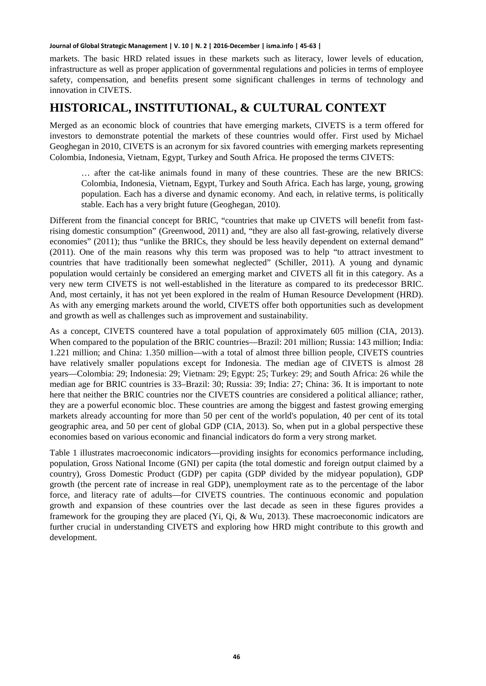markets. The basic HRD related issues in these markets such as literacy, lower levels of education, infrastructure as well as proper application of governmental regulations and policies in terms of employee safety, compensation, and benefits present some significant challenges in terms of technology and innovation in CIVETS.

### **HISTORICAL, INSTITUTIONAL, & CULTURAL CONTEXT**

Merged as an economic block of countries that have emerging markets, CIVETS is a term offered for investors to demonstrate potential the markets of these countries would offer. First used by Michael Geoghegan in 2010, CIVETS is an acronym for six favored countries with emerging markets representing Colombia, Indonesia, Vietnam, Egypt, Turkey and South Africa. He proposed the terms CIVETS:

… after the cat-like animals found in many of these countries. These are the new BRICS: Colombia, Indonesia, Vietnam, Egypt, Turkey and South Africa. Each has large, young, growing population. Each has a diverse and dynamic economy. And each, in relative terms, is politically stable. Each has a very bright future (Geoghegan, 2010).

Different from the financial concept for BRIC, "countries that make up CIVETS will benefit from fastrising domestic consumption" (Greenwood, 2011) and, "they are also all fast-growing, relatively diverse economies" (2011); thus "unlike the BRICs, they should be less heavily dependent on external demand" (2011). One of the main reasons why this term was proposed was to help "to attract investment to countries that have traditionally been somewhat neglected" (Schiller, 2011). A young and dynamic population would certainly be considered an emerging market and CIVETS all fit in this category. As a very new term CIVETS is not well-established in the literature as compared to its predecessor BRIC. And, most certainly, it has not yet been explored in the realm of Human Resource Development (HRD). As with any emerging markets around the world, CIVETS offer both opportunities such as development and growth as well as challenges such as improvement and sustainability.

As a concept, CIVETS countered have a total population of approximately 605 million (CIA, 2013). When compared to the population of the BRIC countries—Brazil: 201 million; Russia: 143 million; India: 1.221 million; and China: 1.350 million—with a total of almost three billion people, CIVETS countries have relatively smaller populations except for Indonesia. The median age of CIVETS is almost 28 years—Colombia: 29; Indonesia: 29; Vietnam: 29; Egypt: 25; Turkey: 29; and South Africa: 26 while the median age for BRIC countries is 33–Brazil: 30; Russia: 39; India: 27; China: 36. It is important to note here that neither the BRIC countries nor the CIVETS countries are considered a political alliance; rather, they are a powerful economic bloc. These countries are among the biggest and fastest growing emerging markets already accounting for more than 50 per cent of the world's population, 40 per cent of its total geographic area, and 50 per cent of global GDP (CIA, 2013). So, when put in a global perspective these economies based on various economic and financial indicators do form a very strong market.

Table 1 illustrates macroeconomic indicators—providing insights for economics performance including, population, Gross National Income (GNI) per capita (the total domestic and foreign output claimed by a country), Gross Domestic Product (GDP) per capita (GDP divided by the midyear population), GDP growth (the percent rate of increase in real GDP), unemployment rate as to the percentage of the labor force, and literacy rate of adults—for CIVETS countries. The continuous economic and population growth and expansion of these countries over the last decade as seen in these figures provides a framework for the grouping they are placed (Yi, Qi, & Wu, 2013). These macroeconomic indicators are further crucial in understanding CIVETS and exploring how HRD might contribute to this growth and development.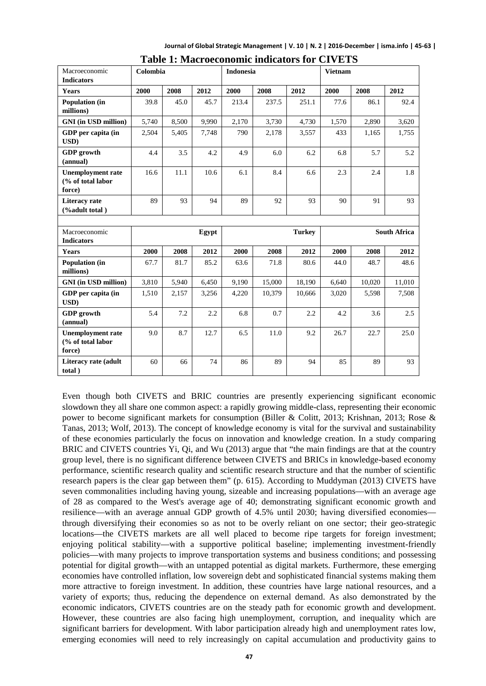**Journal of Global Strategic Management | V. 10 | N. 2 | 2016-December | isma.info | 45-63 |**

| Macroeconomic<br><b>Indicators</b>                      | Colombia |       |       | <b>Indonesia</b> |        |               | <b>Vietnam</b> |        |                     |
|---------------------------------------------------------|----------|-------|-------|------------------|--------|---------------|----------------|--------|---------------------|
| Years                                                   | 2000     | 2008  | 2012  | 2000             | 2008   | 2012          | 2000           | 2008   | 2012                |
| Population (in<br>millions)                             | 39.8     | 45.0  | 45.7  | 213.4            | 237.5  | 251.1         | 77.6           | 86.1   | 92.4                |
| <b>GNI</b> (in USD million)                             | 5,740    | 8,500 | 9,990 | 2,170            | 3,730  | 4,730         | 1,570          | 2,890  | 3,620               |
| GDP per capita (in<br>USD)                              | 2,504    | 5,405 | 7,748 | 790              | 2,178  | 3,557         | 433            | 1,165  | 1,755               |
| <b>GDP</b> growth<br>(annual)                           | 4.4      | 3.5   | 4.2   | 4.9              | 6.0    | 6.2           | 6.8            | 5.7    | 5.2                 |
| <b>Unemployment rate</b><br>(% of total labor<br>force) | 16.6     | 11.1  | 10.6  | 6.1              | 8.4    | 6.6           | 2.3            | 2.4    | 1.8                 |
| <b>Literacy</b> rate<br>(%adult total)                  | 89       | 93    | 94    | 89               | 92     | 93            | 90             | 91     | 93                  |
|                                                         |          |       |       |                  |        |               |                |        |                     |
|                                                         |          |       |       |                  |        |               |                |        |                     |
| Macroeconomic<br><b>Indicators</b>                      |          |       | Egypt |                  |        | <b>Turkey</b> |                |        | <b>South Africa</b> |
| Years                                                   | 2000     | 2008  | 2012  | 2000             | 2008   | 2012          | 2000           | 2008   | 2012                |
| Population (in<br>millions)                             | 67.7     | 81.7  | 85.2  | 63.6             | 71.8   | 80.6          | 44.0           | 48.7   | 48.6                |
| <b>GNI</b> (in USD million)                             | 3,810    | 5,940 | 6,450 | 9,190            | 15,000 | 18,190        | 6.640          | 10,020 | 11,010              |
| GDP per capita (in<br>USD)                              | 1,510    | 2,157 | 3,256 | 4,220            | 10,379 | 10,666        | 3,020          | 5,598  | 7,508               |
| <b>GDP</b> growth<br>(annual)                           | 5.4      | 7.2   | 2.2   | 6.8              | 0.7    | 2.2           | 4.2            | 3.6    | 2.5                 |
| <b>Unemployment rate</b><br>(% of total labor<br>force) | 9.0      | 8.7   | 12.7  | 6.5              | 11.0   | 9.2           | 26.7           | 22.7   | 25.0                |

| <b>Table 1: Macroeconomic indicators for CIVETS</b> |  |
|-----------------------------------------------------|--|
|-----------------------------------------------------|--|

Even though both CIVETS and BRIC countries are presently experiencing significant economic slowdown they all share one common aspect: a rapidly growing middle-class, representing their economic power to become significant markets for consumption (Biller & Colitt, 2013; Krishnan, 2013; Rose & Tanas, 2013; Wolf, 2013). The concept of knowledge economy is vital for the survival and sustainability of these economies particularly the focus on innovation and knowledge creation. In a study comparing BRIC and CIVETS countries Yi, Qi, and Wu (2013) argue that "the main findings are that at the country group level, there is no significant difference between CIVETS and BRICs in knowledge-based economy performance, scientific research quality and scientific research structure and that the number of scientific research papers is the clear gap between them" (p. 615). According to Muddyman (2013) CIVETS have seven commonalities including having young, sizeable and increasing populations—with an average age of 28 as compared to the West's average age of 40; demonstrating significant economic growth and resilience—with an average annual GDP growth of 4.5% until 2030; having diversified economies through diversifying their economies so as not to be overly reliant on one sector; their geo-strategic locations—the CIVETS markets are all well placed to become ripe targets for foreign investment; enjoying political stability—with a supportive political baseline; implementing investment-friendly policies—with many projects to improve transportation systems and business conditions; and possessing potential for digital growth—with an untapped potential as digital markets. Furthermore, these emerging economies have controlled inflation, low sovereign debt and sophisticated financial systems making them more attractive to foreign investment. In addition, these countries have large national resources, and a variety of exports; thus, reducing the dependence on external demand. As also demonstrated by the economic indicators, CIVETS countries are on the steady path for economic growth and development. However, these countries are also facing high unemployment, corruption, and inequality which are significant barriers for development. With labor participation already high and unemployment rates low, emerging economies will need to rely increasingly on capital accumulation and productivity gains to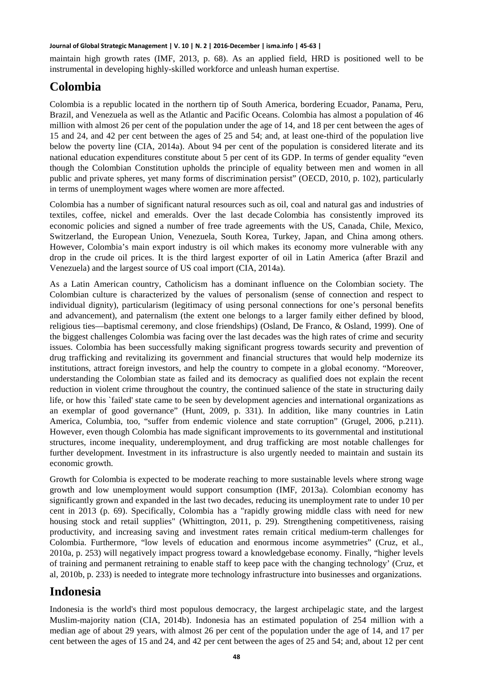maintain high growth rates (IMF, 2013, p. 68). As an applied field, HRD is positioned well to be instrumental in developing highly-skilled workforce and unleash human expertise.

### **Colombia**

Colombia is a republic located in the northern tip of South America, bordering Ecuador, Panama, Peru, Brazil, and Venezuela as well as the Atlantic and Pacific Oceans. Colombia has almost a population of 46 million with almost 26 per cent of the population under the age of 14, and 18 per cent between the ages of 15 and 24, and 42 per cent between the ages of 25 and 54; and, at least one-third of the population live below the poverty line (CIA, 2014a). About 94 per cent of the population is considered literate and its national education expenditures constitute about 5 per cent of its GDP. In terms of gender equality "even though the Colombian Constitution upholds the principle of equality between men and women in all public and private spheres, yet many forms of discrimination persist" (OECD, 2010, p. 102), particularly in terms of unemployment wages where women are more affected.

Colombia has a number of significant natural resources such as oil, coal and natural gas and industries of textiles, coffee, nickel and emeralds. Over the last decade Colombia has consistently improved its economic policies and signed a number of free trade agreements with the US, Canada, Chile, Mexico, Switzerland, the European Union, Venezuela, South Korea, Turkey, Japan, and China among others. However, Colombia's main export industry is oil which makes its economy more vulnerable with any drop in the crude oil prices. It is the third largest exporter of oil in Latin America (after Brazil and Venezuela) and the largest source of US coal import (CIA, 2014a).

As a Latin American country, Catholicism has a dominant influence on the Colombian society. The Colombian culture is characterized by the values of personalism (sense of connection and respect to individual dignity), particularism (legitimacy of using personal connections for one's personal benefits and advancement), and paternalism (the extent one belongs to a larger family either defined by blood, religious ties—baptismal ceremony, and close friendships) (Osland, De Franco, & Osland, 1999). One of the biggest challenges Colombia was facing over the last decades was the high rates of crime and security issues. Colombia has been successfully making significant progress towards security and prevention of drug trafficking and revitalizing its government and financial structures that would help modernize its institutions, attract foreign investors, and help the country to compete in a global economy. "Moreover, understanding the Colombian state as failed and its democracy as qualified does not explain the recent reduction in violent crime throughout the country, the continued salience of the state in structuring daily life, or how this `failed' state came to be seen by development agencies and international organizations as an exemplar of good governance" (Hunt, 2009, p. 331). In addition, like many countries in Latin America, Columbia, too, "suffer from endemic violence and state corruption" (Grugel, 2006, p.211). However, even though Colombia has made significant improvements to its governmental and institutional structures, income inequality, underemployment, and drug trafficking are most notable challenges for further development. Investment in its infrastructure is also urgently needed to maintain and sustain its economic growth.

Growth for Colombia is expected to be moderate reaching to more sustainable levels where strong wage growth and low unemployment would support consumption (IMF, 2013a). Colombian economy has significantly grown and expanded in the last two decades, reducing its unemployment rate to under 10 per cent in 2013 (p. 69). Specifically, Colombia has a "rapidly growing middle class with need for new housing stock and retail supplies" (Whittington, 2011, p. 29). Strengthening competitiveness, raising productivity, and increasing saving and investment rates remain critical medium-term challenges for Colombia. Furthermore, "low levels of education and enormous income asymmetries" (Cruz, et al., 2010a, p. 253) will negatively impact progress toward a knowledgebase economy. Finally, "higher levels of training and permanent retraining to enable staff to keep pace with the changing technology' (Cruz, et al, 2010b, p. 233) is needed to integrate more technology infrastructure into businesses and organizations.

# **Indonesia**

Indonesia is the world's third most populous democracy, the largest archipelagic state, and the largest Muslim-majority nation (CIA, 2014b). Indonesia has an estimated population of 254 million with a median age of about 29 years, with almost 26 per cent of the population under the age of 14, and 17 per cent between the ages of 15 and 24, and 42 per cent between the ages of 25 and 54; and, about 12 per cent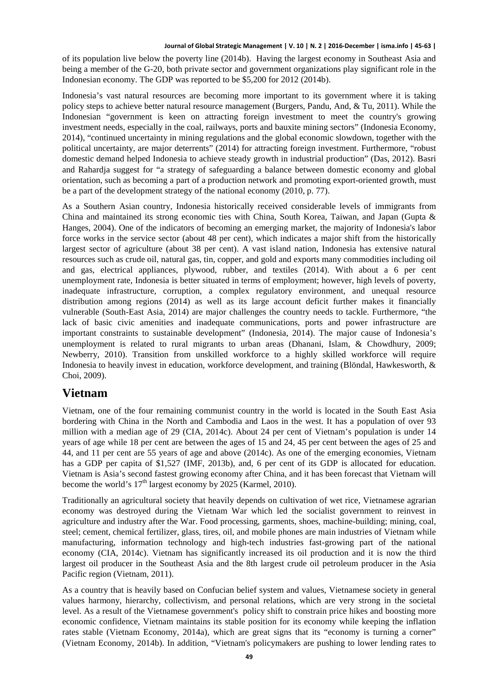of its population live below the poverty line (2014b). Having the largest economy in Southeast Asia and being a member of the G-20, both private sector and government organizations play significant role in the Indonesian economy. The GDP was reported to be \$5,200 for 2012 (2014b).

Indonesia's vast natural resources are becoming more important to its government where it is taking policy steps to achieve better natural resource management (Burgers, Pandu, And, & Tu, 2011). While the Indonesian "government is keen on attracting foreign investment to meet the country's growing investment needs, especially in the coal, railways, ports and bauxite mining sectors" (Indonesia Economy, 2014), "continued uncertainty in mining regulations and the global economic slowdown, together with the political uncertainty, are major deterrents" (2014) for attracting foreign investment. Furthermore, "robust domestic demand helped Indonesia to achieve steady growth in industrial production" (Das, 2012). Basri and Rahardja suggest for "a strategy of safeguarding a balance between domestic economy and global orientation, such as becoming a part of a production network and promoting export-oriented growth, must be a part of the development strategy of the national economy (2010, p. 77).

As a Southern Asian country, Indonesia historically received considerable levels of immigrants from China and maintained its strong economic ties with China, South Korea, Taiwan, and Japan (Gupta & Hanges, 2004). One of the indicators of becoming an emerging market, the majority of Indonesia's labor force works in the service sector (about 48 per cent), which indicates a major shift from the historically largest sector of agriculture (about 38 per cent). A vast island nation, Indonesia has extensive natural resources such as crude oil, natural gas, tin, copper, and gold and exports many commodities including oil and gas, electrical appliances, plywood, rubber, and textiles (2014). With about a 6 per cent unemployment rate, Indonesia is better situated in terms of employment; however, high levels of poverty, inadequate infrastructure, corruption, a complex regulatory environment, and unequal resource distribution among regions (2014) as well as its large account deficit further makes it financially vulnerable (South-East Asia, 2014) are major challenges the country needs to tackle. Furthermore, "the lack of basic civic amenities and inadequate communications, ports and power infrastructure are important constraints to sustainable development" (Indonesia, 2014). The major cause of Indonesia's unemployment is related to rural migrants to urban areas (Dhanani, Islam, & Chowdhury, 2009; Newberry, 2010). Transition from unskilled workforce to a highly skilled workforce will require Indonesia to heavily invest in education, workforce development, and training (Blöndal, Hawkesworth, & Choi, 2009).

### **Vietnam**

Vietnam, one of the four remaining communist country in the world is located in the South East Asia bordering with China in the North and Cambodia and Laos in the west. It has a population of over 93 million with a median age of 29 (CIA, 2014c). About 24 per cent of Vietnam's population is under 14 years of age while 18 per cent are between the ages of 15 and 24, 45 per cent between the ages of 25 and 44, and 11 per cent are 55 years of age and above (2014c). As one of the emerging economies, Vietnam has a GDP per capita of \$1,527 (IMF, 2013b), and, 6 per cent of its GDP is allocated for education. Vietnam is Asia's second fastest growing economy after China, and it has been forecast that Vietnam will become the world's  $17<sup>th</sup>$  largest economy by 2025 (Karmel, 2010).

Traditionally an agricultural society that heavily depends on cultivation of wet rice, Vietnamese agrarian economy was destroyed during the Vietnam War which led the socialist government to reinvest in agriculture and industry after the War. Food processing, garments, shoes, machine-building; mining, coal, steel; cement, chemical fertilizer, glass, tires, oil, and mobile phones are main industries of Vietnam while manufacturing, information technology and high-tech industries fast-growing part of the national economy (CIA, 2014c). Vietnam has significantly increased its oil production and it is now the third largest oil producer in the Southeast Asia and the 8th largest crude oil petroleum producer in the Asia Pacific region (Vietnam, 2011).

As a country that is heavily based on Confucian belief system and values, Vietnamese society in general values harmony, hierarchy, collectivism, and personal relations, which are very strong in the societal level. As a result of the Vietnamese government's policy shift to constrain price hikes and boosting more economic confidence, Vietnam maintains its stable position for its economy while keeping the inflation rates stable (Vietnam Economy, 2014a), which are great signs that its "economy is turning a corner" (Vietnam Economy, 2014b). In addition, "Vietnam's policymakers are pushing to lower lending rates to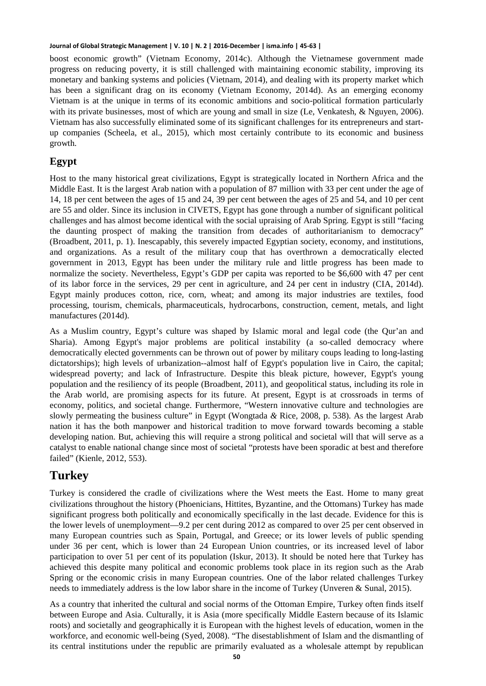boost economic growth" (Vietnam Economy, 2014c). Although the Vietnamese government made progress on reducing poverty, it is still challenged with maintaining economic stability, improving its monetary and banking systems and policies (Vietnam, 2014), and dealing with its property market which has been a significant drag on its economy (Vietnam Economy, 2014d). As an emerging economy Vietnam is at the unique in terms of its economic ambitions and socio-political formation particularly with its private businesses, most of which are young and small in size (Le, Venkatesh, & Nguyen, 2006). Vietnam has also successfully eliminated some of its significant challenges for its entrepreneurs and startup companies (Scheela, et al., 2015), which most certainly contribute to its economic and business growth.

### **Egypt**

Host to the many historical great civilizations, Egypt is strategically located in Northern Africa and the Middle East. It is the largest Arab nation with a population of 87 million with 33 per cent under the age of 14, 18 per cent between the ages of 15 and 24, 39 per cent between the ages of 25 and 54, and 10 per cent are 55 and older. Since its inclusion in CIVETS, Egypt has gone through a number of significant political challenges and has almost become identical with the social upraising of Arab Spring. Egypt is still "facing the daunting prospect of making the transition from decades of authoritarianism to democracy" (Broadbent, 2011, p. 1). Inescapably, this severely impacted Egyptian society, economy, and institutions, and organizations. As a result of the military coup that has overthrown a democratically elected government in 2013, Egypt has been under the military rule and little progress has been made to normalize the society. Nevertheless, Egypt's GDP per capita was reported to be \$6,600 with 47 per cent of its labor force in the services, 29 per cent in agriculture, and 24 per cent in industry (CIA, 2014d). Egypt mainly produces cotton, rice, corn, wheat; and among its major industries are textiles, food processing, tourism, chemicals, pharmaceuticals, hydrocarbons, construction, cement, metals, and light manufactures (2014d).

As a Muslim country, Egypt's culture was shaped by Islamic moral and legal code (the Qur'an and Sharia). Among Egypt's major problems are political instability (a so-called democracy where democratically elected governments can be thrown out of power by military coups leading to long-lasting dictatorships); high levels of urbanization--almost half of Egypt's population live in Cairo, the capital; widespread poverty; and lack of Infrastructure. Despite this bleak picture, however, Egypt's young population and the resiliency of its people (Broadbent, 2011), and geopolitical status, including its role in the Arab world, are promising aspects for its future. At present, Egypt is at crossroads in terms of economy, politics, and societal change. Furthermore, "Western innovative culture and technologies are slowly permeating the business culture" in Egypt (Wongtada *&* Rice, 2008, p. 538). As the largest Arab nation it has the both manpower and historical tradition to move forward towards becoming a stable developing nation. But, achieving this will require a strong political and societal will that will serve as a catalyst to enable national change since most of societal "protests have been sporadic at best and therefore failed" (Kienle, 2012, 553).

### **Turkey**

Turkey is considered the cradle of civilizations where the West meets the East. Home to many great civilizations throughout the history (Phoenicians, Hittites, Byzantine, and the Ottomans) Turkey has made significant progress both politically and economically specifically in the last decade. Evidence for this is the lower levels of unemployment—9.2 per cent during 2012 as compared to over 25 per cent observed in many European countries such as Spain, Portugal, and Greece; or its lower levels of public spending under 36 per cent, which is lower than 24 European Union countries, or its increased level of labor participation to over 51 per cent of its population (Iskur, 2013). It should be noted here that Turkey has achieved this despite many political and economic problems took place in its region such as the Arab Spring or the economic crisis in many European countries. One of the labor related challenges Turkey needs to immediately address is the low labor share in the income of Turkey (Unveren & Sunal, 2015).

As a country that inherited the cultural and social norms of the Ottoman Empire, Turkey often finds itself between Europe and Asia. Culturally, it is Asia (more specifically Middle Eastern because of its Islamic roots) and societally and geographically it is European with the highest levels of education, women in the workforce, and economic well-being (Syed, 2008). "The disestablishment of Islam and the dismantling of its central institutions under the republic are primarily evaluated as a wholesale attempt by republican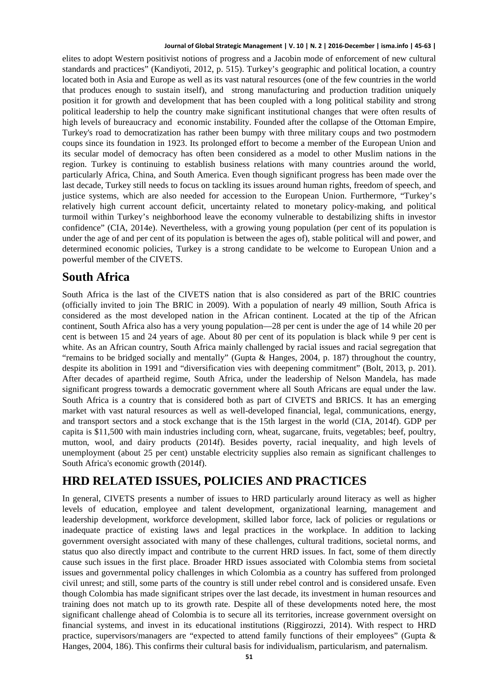elites to adopt Western positivist notions of progress and a Jacobin mode of enforcement of new cultural standards and practices" (Kandiyoti, 2012, p. 515). Turkey's geographic and political location, a country located both in Asia and Europe as well as its vast natural resources (one of the few countries in the world that produces enough to sustain itself), and strong manufacturing and production tradition uniquely position it for growth and development that has been coupled with a long political stability and strong political leadership to help the country make significant institutional changes that were often results of high levels of bureaucracy and economic instability. Founded after the collapse of the Ottoman Empire, Turkey's road to democratization has rather been bumpy with three military coups and two postmodern coups since its foundation in 1923. Its prolonged effort to become a member of the European Union and its secular model of democracy has often been considered as a model to other Muslim nations in the region. Turkey is continuing to establish business relations with many countries around the world, particularly Africa, China, and South America. Even though significant progress has been made over the last decade, Turkey still needs to focus on tackling its issues around human rights, freedom of speech, and justice systems, which are also needed for accession to the European Union. Furthermore, "Turkey's relatively high current account deficit, uncertainty related to monetary policy-making, and political turmoil within Turkey's neighborhood leave the economy vulnerable to destabilizing shifts in investor confidence" (CIA, 2014e). Nevertheless, with a growing young population (per cent of its population is under the age of and per cent of its population is between the ages of), stable political will and power, and determined economic policies, Turkey is a strong candidate to be welcome to European Union and a powerful member of the CIVETS.

### **South Africa**

South Africa is the last of the CIVETS nation that is also considered as part of the BRIC countries (officially invited to join The BRIC in 2009). With a population of nearly 49 million, South Africa is considered as the most developed nation in the African continent. Located at the tip of the African continent, South Africa also has a very young population—28 per cent is under the age of 14 while 20 per cent is between 15 and 24 years of age. About 80 per cent of its population is black while 9 per cent is white. As an African country, South Africa mainly challenged by racial issues and racial segregation that "remains to be bridged socially and mentally" (Gupta & Hanges, 2004, p. 187) throughout the country, despite its abolition in 1991 and "diversification vies with deepening commitment" (Bolt, 2013, p. 201). After decades of apartheid regime, South Africa, under the leadership of Nelson Mandela, has made significant progress towards a democratic government where all South Africans are equal under the law. South Africa is a country that is considered both as part of CIVETS and BRICS. It has an emerging market with vast natural resources as well as well-developed financial, legal, communications, energy, and transport sectors and a stock exchange that is the 15th largest in the world (CIA, 2014f). GDP per capita is \$11,500 with main industries including corn, wheat, sugarcane, fruits, vegetables; beef, poultry, mutton, wool, and dairy products (2014f). Besides poverty, racial inequality, and high levels of unemployment (about 25 per cent) unstable electricity supplies also remain as significant challenges to South Africa's economic growth (2014f).

### **HRD RELATED ISSUES, POLICIES AND PRACTICES**

In general, CIVETS presents a number of issues to HRD particularly around literacy as well as higher levels of education, employee and talent development, organizational learning, management and leadership development, workforce development, skilled labor force, lack of policies or regulations or inadequate practice of existing laws and legal practices in the workplace. In addition to lacking government oversight associated with many of these challenges, cultural traditions, societal norms, and status quo also directly impact and contribute to the current HRD issues. In fact, some of them directly cause such issues in the first place. Broader HRD issues associated with Colombia stems from societal issues and governmental policy challenges in which Colombia as a country has suffered from prolonged civil unrest; and still, some parts of the country is still under rebel control and is considered unsafe. Even though Colombia has made significant stripes over the last decade, its investment in human resources and training does not match up to its growth rate. Despite all of these developments noted here, the most significant challenge ahead of Colombia is to secure all its territories, increase government oversight on financial systems, and invest in its educational institutions (Riggirozzi, 2014). With respect to HRD practice, supervisors/managers are "expected to attend family functions of their employees" (Gupta & Hanges, 2004, 186). This confirms their cultural basis for individualism, particularism, and paternalism.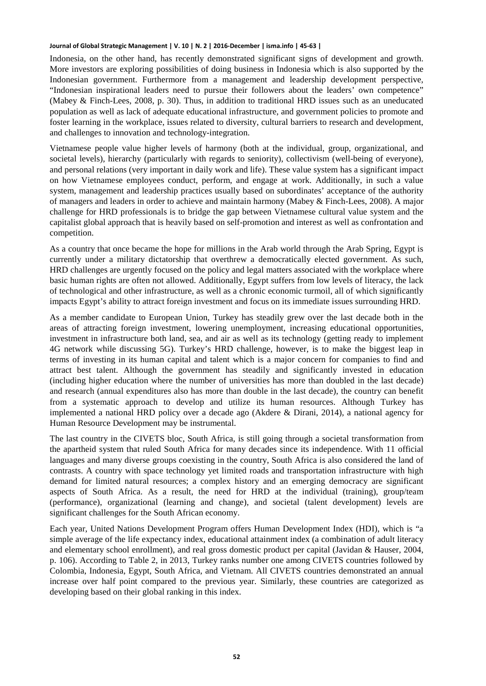Indonesia, on the other hand, has recently demonstrated significant signs of development and growth. More investors are exploring possibilities of doing business in Indonesia which is also supported by the Indonesian government. Furthermore from a management and leadership development perspective, "Indonesian inspirational leaders need to pursue their followers about the leaders' own competence" (Mabey & Finch-Lees, 2008, p. 30). Thus, in addition to traditional HRD issues such as an uneducated population as well as lack of adequate educational infrastructure, and government policies to promote and foster learning in the workplace, issues related to diversity, cultural barriers to research and development, and challenges to innovation and technology-integration.

Vietnamese people value higher levels of harmony (both at the individual, group, organizational, and societal levels), hierarchy (particularly with regards to seniority), collectivism (well-being of everyone), and personal relations (very important in daily work and life). These value system has a significant impact on how Vietnamese employees conduct, perform, and engage at work. Additionally, in such a value system, management and leadership practices usually based on subordinates' acceptance of the authority of managers and leaders in order to achieve and maintain harmony (Mabey & Finch-Lees, 2008). A major challenge for HRD professionals is to bridge the gap between Vietnamese cultural value system and the capitalist global approach that is heavily based on self-promotion and interest as well as confrontation and competition.

As a country that once became the hope for millions in the Arab world through the Arab Spring, Egypt is currently under a military dictatorship that overthrew a democratically elected government. As such, HRD challenges are urgently focused on the policy and legal matters associated with the workplace where basic human rights are often not allowed. Additionally, Egypt suffers from low levels of literacy, the lack of technological and other infrastructure, as well as a chronic economic turmoil, all of which significantly impacts Egypt's ability to attract foreign investment and focus on its immediate issues surrounding HRD.

As a member candidate to European Union, Turkey has steadily grew over the last decade both in the areas of attracting foreign investment, lowering unemployment, increasing educational opportunities, investment in infrastructure both land, sea, and air as well as its technology (getting ready to implement 4G network while discussing 5G). Turkey's HRD challenge, however, is to make the biggest leap in terms of investing in its human capital and talent which is a major concern for companies to find and attract best talent. Although the government has steadily and significantly invested in education (including higher education where the number of universities has more than doubled in the last decade) and research (annual expenditures also has more than double in the last decade), the country can benefit from a systematic approach to develop and utilize its human resources. Although Turkey has implemented a national HRD policy over a decade ago (Akdere & Dirani, 2014), a national agency for Human Resource Development may be instrumental.

The last country in the CIVETS bloc, South Africa, is still going through a societal transformation from the apartheid system that ruled South Africa for many decades since its independence. With 11 official languages and many diverse groups coexisting in the country, South Africa is also considered the land of contrasts. A country with space technology yet limited roads and transportation infrastructure with high demand for limited natural resources; a complex history and an emerging democracy are significant aspects of South Africa. As a result, the need for HRD at the individual (training), group/team (performance), organizational (learning and change), and societal (talent development) levels are significant challenges for the South African economy.

Each year, United Nations Development Program offers Human Development Index (HDI), which is "a simple average of the life expectancy index, educational attainment index (a combination of adult literacy and elementary school enrollment), and real gross domestic product per capital (Javidan & Hauser, 2004, p. 106). According to Table 2, in 2013, Turkey ranks number one among CIVETS countries followed by Colombia, Indonesia, Egypt, South Africa, and Vietnam. All CIVETS countries demonstrated an annual increase over half point compared to the previous year. Similarly, these countries are categorized as developing based on their global ranking in this index.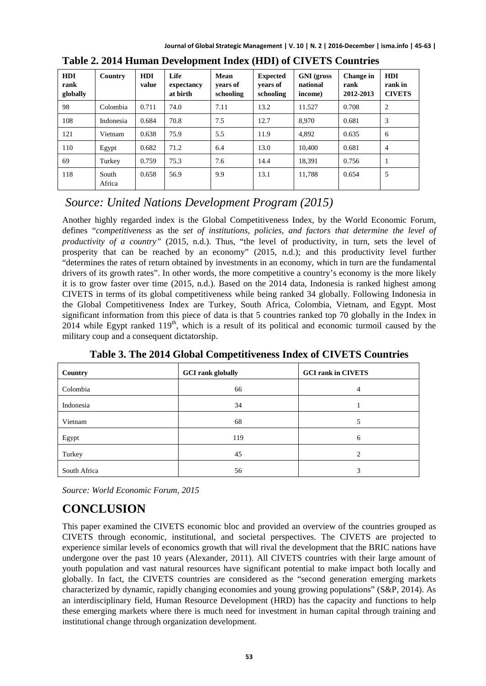| <b>HDI</b><br>rank<br>globally | Country         | <b>HDI</b><br>value | Life<br>expectancy<br>at birth | Mean<br>vears of<br>schooling | <b>Expected</b><br>vears of<br>schooling | <b>GNI</b> (gross<br>national<br>income) | Change in<br>rank<br>2012-2013 | <b>HDI</b><br>rank in<br><b>CIVETS</b> |
|--------------------------------|-----------------|---------------------|--------------------------------|-------------------------------|------------------------------------------|------------------------------------------|--------------------------------|----------------------------------------|
| 98                             | Colombia        | 0.711               | 74.0                           | 7.11                          | 13.2                                     | 11.527                                   | 0.708                          | $\overline{2}$                         |
| 108                            | Indonesia       | 0.684               | 70.8                           | 7.5                           | 12.7                                     | 8.970                                    | 0.681                          | 3                                      |
| 121                            | Vietnam         | 0.638               | 75.9                           | 5.5                           | 11.9                                     | 4.892                                    | 0.635                          | 6                                      |
| 110                            | Egypt           | 0.682               | 71.2                           | 6.4                           | 13.0                                     | 10,400                                   | 0.681                          | $\overline{4}$                         |
| 69                             | Turkey          | 0.759               | 75.3                           | 7.6                           | 14.4                                     | 18.391                                   | 0.756                          | 1                                      |
| 118                            | South<br>Africa | 0.658               | 56.9                           | 9.9                           | 13.1                                     | 11.788                                   | 0.654                          | 5                                      |

**Table 2. 2014 Human Development Index (HDI) of CIVETS Countries**

### *Source: United Nations Development Program (2015)*

Another highly regarded index is the Global Competitiveness Index, by the World Economic Forum, defines "*competitiveness* as the *set of institutions, policies, and factors that determine the level of productivity of a country"* (2015, n.d.). Thus, "the level of productivity, in turn, sets the level of prosperity that can be reached by an economy" (2015, n.d.); and this productivity level further "determines the rates of return obtained by investments in an economy, which in turn are the fundamental drivers of its growth rates". In other words, the more competitive a country's economy is the more likely it is to grow faster over time (2015, n.d.). Based on the 2014 data, Indonesia is ranked highest among CIVETS in terms of its global competitiveness while being ranked 34 globally. Following Indonesia in the Global Competitiveness Index are Turkey, South Africa, Colombia, Vietnam, and Egypt. Most significant information from this piece of data is that 5 countries ranked top 70 globally in the Index in 2014 while Egypt ranked  $119<sup>th</sup>$ , which is a result of its political and economic turmoil caused by the military coup and a consequent dictatorship.

| Country      | <b>GCI</b> rank globally | <b>GCI rank in CIVETS</b> |
|--------------|--------------------------|---------------------------|
| Colombia     | 66                       | 4                         |
| Indonesia    | 34                       |                           |
| Vietnam      | 68                       | 5                         |
| Egypt        | 119                      | 6                         |
| Turkey       | 45                       | $\overline{c}$            |
| South Africa | 56                       | 3                         |

**Table 3. The 2014 Global Competitiveness Index of CIVETS Countries**

*Source: World Economic Forum, 2015*

# **CONCLUSION**

This paper examined the CIVETS economic bloc and provided an overview of the countries grouped as CIVETS through economic, institutional, and societal perspectives. The CIVETS are projected to experience similar levels of economics growth that will rival the development that the BRIC nations have undergone over the past 10 years (Alexander, 2011). All CIVETS countries with their large amount of youth population and vast natural resources have significant potential to make impact both locally and globally. In fact, the CIVETS countries are considered as the "second generation emerging markets characterized by dynamic, rapidly changing economies and young growing populations" (S&P, 2014). As an interdisciplinary field, Human Resource Development (HRD) has the capacity and functions to help these emerging markets where there is much need for investment in human capital through training and institutional change through organization development.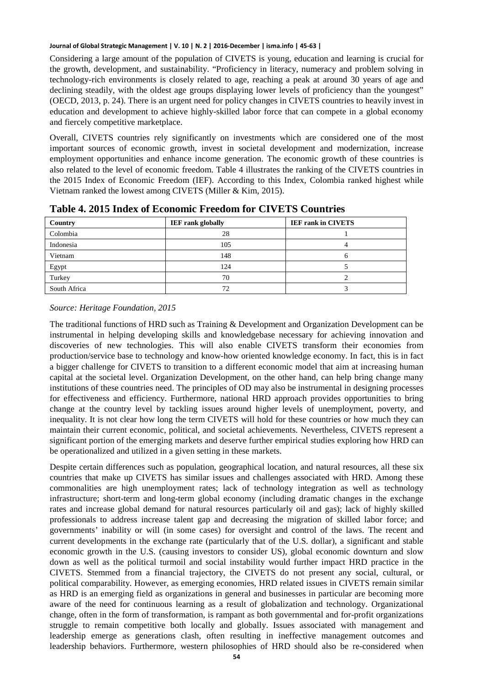Considering a large amount of the population of CIVETS is young, education and learning is crucial for the growth, development, and sustainability. "Proficiency in literacy, numeracy and problem solving in technology-rich environments is closely related to age, reaching a peak at around 30 years of age and declining steadily, with the oldest age groups displaying lower levels of proficiency than the youngest" (OECD, 2013, p. 24). There is an urgent need for policy changes in CIVETS countries to heavily invest in education and development to achieve highly-skilled labor force that can compete in a global economy and fiercely competitive marketplace.

Overall, CIVETS countries rely significantly on investments which are considered one of the most important sources of economic growth, invest in societal development and modernization, increase employment opportunities and enhance income generation. The economic growth of these countries is also related to the level of economic freedom. Table 4 illustrates the ranking of the CIVETS countries in the 2015 Index of Economic Freedom (IEF). According to this Index, Colombia ranked highest while Vietnam ranked the lowest among CIVETS (Miller & Kim, 2015).

| Country      | <b>IEF</b> rank globally | <b>IEF rank in CIVETS</b> |
|--------------|--------------------------|---------------------------|
| Colombia     | 28                       |                           |
| Indonesia    | 105                      |                           |
| Vietnam      | 148                      |                           |
| Egypt        | 124                      |                           |
| Turkey       | 70                       |                           |
| South Africa | 72                       |                           |

**Table 4. 2015 Index of Economic Freedom for CIVETS Countries** 

#### *Source: Heritage Foundation, 2015*

The traditional functions of HRD such as Training & Development and Organization Development can be instrumental in helping developing skills and knowledgebase necessary for achieving innovation and discoveries of new technologies. This will also enable CIVETS transform their economies from production/service base to technology and know-how oriented knowledge economy. In fact, this is in fact a bigger challenge for CIVETS to transition to a different economic model that aim at increasing human capital at the societal level. Organization Development, on the other hand, can help bring change many institutions of these countries need. The principles of OD may also be instrumental in designing processes for effectiveness and efficiency. Furthermore, national HRD approach provides opportunities to bring change at the country level by tackling issues around higher levels of unemployment, poverty, and inequality. It is not clear how long the term CIVETS will hold for these countries or how much they can maintain their current economic, political, and societal achievements. Nevertheless, CIVETS represent a significant portion of the emerging markets and deserve further empirical studies exploring how HRD can be operationalized and utilized in a given setting in these markets.

Despite certain differences such as population, geographical location, and natural resources, all these six countries that make up CIVETS has similar issues and challenges associated with HRD. Among these commonalities are high unemployment rates; lack of technology integration as well as technology infrastructure; short-term and long-term global economy (including dramatic changes in the exchange rates and increase global demand for natural resources particularly oil and gas); lack of highly skilled professionals to address increase talent gap and decreasing the migration of skilled labor force; and governments' inability or will (in some cases) for oversight and control of the laws. The recent and current developments in the exchange rate (particularly that of the U.S. dollar), a significant and stable economic growth in the U.S. (causing investors to consider US), global economic downturn and slow down as well as the political turmoil and social instability would further impact HRD practice in the CIVETS. Stemmed from a financial trajectory, the CIVETS do not present any social, cultural, or political comparability. However, as emerging economies, HRD related issues in CIVETS remain similar as HRD is an emerging field as organizations in general and businesses in particular are becoming more aware of the need for continuous learning as a result of globalization and technology. Organizational change, often in the form of transformation, is rampant as both governmental and for-profit organizations struggle to remain competitive both locally and globally. Issues associated with management and leadership emerge as generations clash, often resulting in ineffective management outcomes and leadership behaviors. Furthermore, western philosophies of HRD should also be re-considered when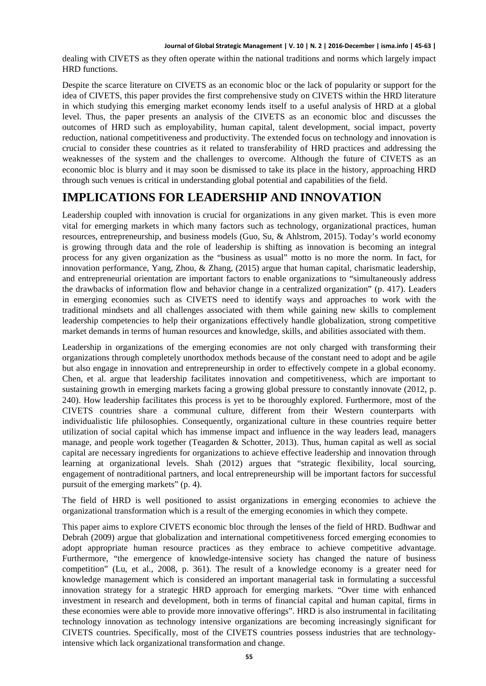dealing with CIVETS as they often operate within the national traditions and norms which largely impact HRD functions.

Despite the scarce literature on CIVETS as an economic bloc or the lack of popularity or support for the idea of CIVETS, this paper provides the first comprehensive study on CIVETS within the HRD literature in which studying this emerging market economy lends itself to a useful analysis of HRD at a global level. Thus, the paper presents an analysis of the CIVETS as an economic bloc and discusses the outcomes of HRD such as employability, human capital, talent development, social impact, poverty reduction, national competitiveness and productivity. The extended focus on technology and innovation is crucial to consider these countries as it related to transferability of HRD practices and addressing the weaknesses of the system and the challenges to overcome. Although the future of CIVETS as an economic bloc is blurry and it may soon be dismissed to take its place in the history, approaching HRD through such venues is critical in understanding global potential and capabilities of the field.

### **IMPLICATIONS FOR LEADERSHIP AND INNOVATION**

Leadership coupled with innovation is crucial for organizations in any given market. This is even more vital for emerging markets in which many factors such as technology, organizational practices, human resources, entrepreneurship, and business models (Guo, Su, & Ahlstrom, 2015). Today's world economy is growing through data and the role of leadership is shifting as innovation is becoming an integral process for any given organization as the "business as usual" motto is no more the norm. In fact, for innovation performance, Yang, Zhou, & Zhang, (2015) argue that human capital, charismatic leadership, and entrepreneurial orientation are important factors to enable organizations to "simultaneously address the drawbacks of information flow and behavior change in a centralized organization" (p. 417). Leaders in emerging economies such as CIVETS need to identify ways and approaches to work with the traditional mindsets and all challenges associated with them while gaining new skills to complement leadership competencies to help their organizations effectively handle globalization, strong competitive market demands in terms of human resources and knowledge, skills, and abilities associated with them.

Leadership in organizations of the emerging economies are not only charged with transforming their organizations through completely unorthodox methods because of the constant need to adopt and be agile but also engage in innovation and entrepreneurship in order to effectively compete in a global economy. Chen, et al. argue that leadership facilitates innovation and competitiveness, which are important to sustaining growth in emerging markets facing a growing global pressure to constantly innovate (2012, p. 240). How leadership facilitates this process is yet to be thoroughly explored. Furthermore, most of the CIVETS countries share a communal culture, different from their Western counterparts with individualistic life philosophies. Consequently, organizational culture in these countries require better utilization of social capital which has immense impact and influence in the way leaders lead, managers manage, and people work together (Teagarden & Schotter, 2013). Thus, human capital as well as social capital are necessary ingredients for organizations to achieve effective leadership and innovation through learning at organizational levels. Shah (2012) argues that "strategic flexibility, local sourcing, engagement of nontraditional partners, and local entrepreneurship will be important factors for successful pursuit of the emerging markets" (p. 4).

The field of HRD is well positioned to assist organizations in emerging economies to achieve the organizational transformation which is a result of the emerging economies in which they compete.

This paper aims to explore CIVETS economic bloc through the lenses of the field of HRD. Budhwar and Debrah (2009) argue that globalization and international competitiveness forced emerging economies to adopt appropriate human resource practices as they embrace to achieve competitive advantage. Furthermore, "the emergence of knowledge-intensive society has changed the nature of business competition" (Lu, et al., 2008, p. 361). The result of a knowledge economy is a greater need for knowledge management which is considered an important managerial task in formulating a successful innovation strategy for a strategic HRD approach for emerging markets. "Over time with enhanced investment in research and development, both in terms of financial capital and human capital, firms in these economies were able to provide more innovative offerings". HRD is also instrumental in facilitating technology innovation as technology intensive organizations are becoming increasingly significant for CIVETS countries. Specifically, most of the CIVETS countries possess industries that are technologyintensive which lack organizational transformation and change.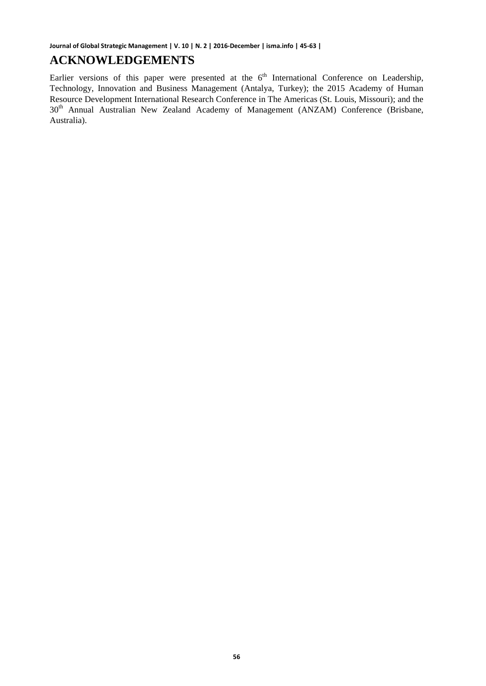### **ACKNOWLEDGEMENTS**

Earlier versions of this paper were presented at the 6<sup>th</sup> International Conference on Leadership, Technology, Innovation and Business Management (Antalya, Turkey); the 2015 Academy of Human Resource Development International Research Conference in The Americas (St. Louis, Missouri); and the 30<sup>th</sup> Annual Australian New Zealand Academy of Management (ANZAM) Conference (Brisbane, Australia).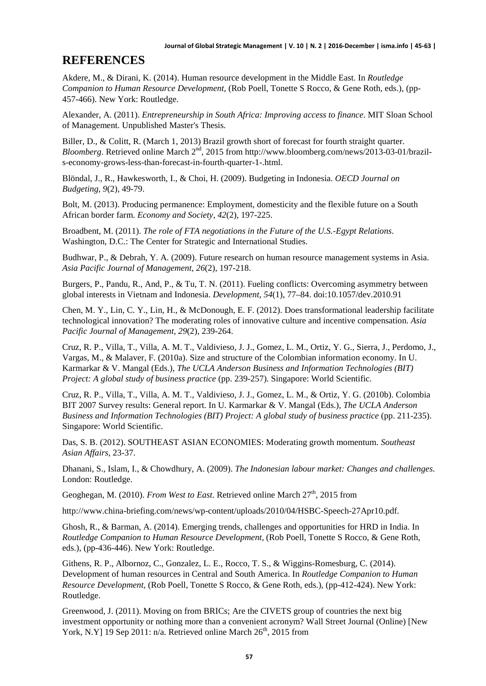### **REFERENCES**

Akdere, M., & Dirani, K. (2014). Human resource development in the Middle East. In *Routledge Companion to Human Resource Development,* (Rob Poell, Tonette S Rocco, & Gene Roth, eds.), (pp-457-466). New York: Routledge.

Alexander, A. (2011). *Entrepreneurship in South Africa: Improving access to finance*. MIT Sloan School of Management. Unpublished Master's Thesis.

Biller, D., & Colitt, R. (March 1, 2013) Brazil growth short of forecast for fourth straight quarter. *Bloomberg*. Retrieved online March 2<sup>nd</sup>, 2015 from http://www.bloomberg.com/news/2013-03-01/brazils-economy-grows-less-than-forecast-in-fourth-quarter-1-.html.

Blöndal, J., R., Hawkesworth, I., & Choi, H. (2009). Budgeting in Indonesia. *OECD Journal on Budgeting, 9*(2), 49-79.

Bolt, M. (2013). Producing permanence: Employment, domesticity and the flexible future on a South African border farm. *Economy and Society, 42*(2), 197-225.

Broadbent, M. (2011). *The role of FTA negotiations in the Future of the U.S.-Egypt Relations*. Washington, D.C.: The Center for Strategic and International Studies.

Budhwar, P., & Debrah, Y. A. (2009). Future research on human resource management systems in Asia. *Asia Pacific Journal of Management, 26*(2), 197-218.

Burgers, P., Pandu, R., And, P., & Tu, T. N. (2011). Fueling conflicts: Overcoming asymmetry between global interests in Vietnam and Indonesia. *Development, 54*(1), 77–84. doi:10.1057/dev.2010.91

Chen, M. Y., Lin, C. Y., Lin, H., & McDonough, E. F. (2012). Does transformational leadership facilitate technological innovation? The moderating roles of innovative culture and incentive compensation. *Asia Pacific Journal of Management, 29*(2), 239-264.

Cruz, R. P., Villa, T., Villa, A. M. T., Valdivieso, J. J., Gomez, L. M., Ortiz, Y. G., Sierra, J., Perdomo, J., Vargas, M., & Malaver, F. (2010a). Size and structure of the Colombian information economy. In U. Karmarkar & V. Mangal (Eds.), *The UCLA Anderson Business and Information Technologies (BIT) Project: A global study of business practice* (pp. 239-257). Singapore: World Scientific.

Cruz, R. P., Villa, T., Villa, A. M. T., Valdivieso, J. J., Gomez, L. M., & Ortiz, Y. G. (2010b). Colombia BIT 2007 Survey results: General report. In U. Karmarkar & V. Mangal (Eds.), *The UCLA Anderson Business and Information Technologies (BIT) Project: A global study of business practice* (pp. 211-235). Singapore: World Scientific.

Das, S. B. (2012). SOUTHEAST ASIAN ECONOMIES: Moderating growth momentum. *Southeast Asian Affairs*, 23-37.

Dhanani, S., Islam, I., & Chowdhury, A. (2009). *The Indonesian labour market: Changes and challenges*. London: Routledge.

Geoghegan, M. (2010). *From West to East*. Retrieved online March 27<sup>th</sup>, 2015 from

http://www.china-briefing.com/news/wp-content/uploads/2010/04/HSBC-Speech-27Apr10.pdf.

Ghosh, R., & Barman, A. (2014). Emerging trends, challenges and opportunities for HRD in India. In *Routledge Companion to Human Resource Development,* (Rob Poell, Tonette S Rocco, & Gene Roth, eds.), (pp-436-446). New York: Routledge.

Githens, R. P., Albornoz, C., Gonzalez, L. E., Rocco, T. S., & Wiggins-Romesburg, C. (2014). Development of human resources in Central and South America. In *Routledge Companion to Human Resource Development,* (Rob Poell, Tonette S Rocco, & Gene Roth, eds.), (pp-412-424). New York: Routledge.

Greenwood, J. (2011). Moving on from BRICs; Are the CIVETS group of countries the next big investment opportunity or nothing more than a convenient acronym? Wall Street Journal (Online) [New York, N.Y] 19 Sep 2011:  $n/a$ . Retrieved online March 26<sup>th</sup>, 2015 from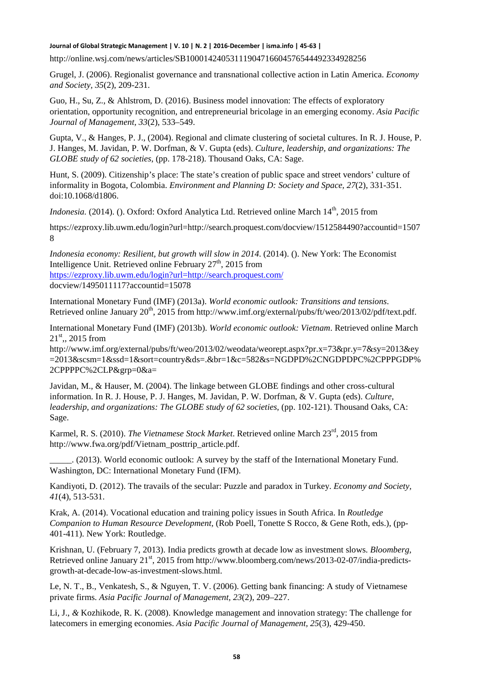http://online.wsj.com/news/articles/SB10001424053111904716604576544492334928256

Grugel, J. (2006). Regionalist governance and transnational collective action in Latin America. *Economy and Society, 35*(2), 209-231.

Guo, H., Su, Z., & Ahlstrom, D. (2016). Business model innovation: The effects of exploratory orientation, opportunity recognition, and entrepreneurial bricolage in an emerging economy. *Asia Pacific Journal of Management, 33*(2), 533–549.

Gupta, V., & Hanges, P. J., (2004). Regional and climate clustering of societal cultures. In R. J. House, P. J. Hanges, M. Javidan, P. W. Dorfman, & V. Gupta (eds). *Culture, leadership, and organizations: The GLOBE study of 62 societies*, (pp. 178-218). Thousand Oaks, CA: Sage.

Hunt, S. (2009). Citizenship's place: The state's creation of public space and street vendors' culture of informality in Bogota, Colombia. *Environment and Planning D: Society and Space, 27*(2), 331-351. doi:10.1068/d1806.

*Indonesia.* (2014). (). Oxford: Oxford Analytica Ltd. Retrieved online March 14<sup>th</sup>, 2015 from

https://ezproxy.lib.uwm.edu/login?url=http://search.proquest.com/docview/1512584490?accountid=1507 8

*Indonesia economy: Resilient, but growth will slow in 2014*. (2014). (). New York: The Economist Intelligence Unit. Retrieved online February  $27<sup>th</sup>$ , 2015 from <https://ezproxy.lib.uwm.edu/login?url=http://search.proquest.com/> docview/1495011117?accountid=15078

International Monetary Fund (IMF) (2013a). *World economic outlook: Transitions and tensions*. Retrieved online January 20<sup>th</sup>, 2015 from http://www.imf.org/external/pubs/ft/weo/2013/02/pdf/text.pdf.

International Monetary Fund (IMF) (2013b). *World economic outlook: Vietnam*. Retrieved online March  $21<sup>st</sup>$ ,, 2015 from

http://www.imf.org/external/pubs/ft/weo/2013/02/weodata/weorept.aspx?pr.x=73&pr.y=7&sy=2013&ey =2013&scsm=1&ssd=1&sort=country&ds=.&br=1&c=582&s=NGDPD%2CNGDPDPC%2CPPPGDP% 2CPPPPC%2CLP&grp=0&a=

Javidan, M., & Hauser, M. (2004). The linkage between GLOBE findings and other cross-cultural information. In R. J. House, P. J. Hanges, M. Javidan, P. W. Dorfman, & V. Gupta (eds). *Culture, leadership, and organizations: The GLOBE study of 62 societies*, (pp. 102-121). Thousand Oaks, CA: Sage.

Karmel, R. S. (2010). *The Vietnamese Stock Market*. Retrieved online March 23<sup>rd</sup>, 2015 from http://www.fwa.org/pdf/Vietnam\_posttrip\_article.pdf.

\_\_\_\_\_. (2013). World economic outlook: A survey by the staff of the International Monetary Fund. Washington, DC: International Monetary Fund (IFM).

Kandiyoti, D. (2012). The travails of the secular: Puzzle and paradox in Turkey. *Economy and Society, 41*(4), 513-531.

Krak, A. (2014). Vocational education and training policy issues in South Africa. In *Routledge Companion to Human Resource Development,* (Rob Poell, Tonette S Rocco, & Gene Roth, eds.), (pp-401-411). New York: Routledge.

Krishnan, U. (February 7, 2013). India predicts growth at decade low as investment slows. *Bloomberg*, Retrieved online January 21<sup>st</sup>, 2015 from http://www.bloomberg.com/news/2013-02-07/india-predictsgrowth-at-decade-low-as-investment-slows.html.

Le, N. T., B., Venkatesh, S., & Nguyen, T. V. (2006). Getting bank financing: A study of Vietnamese private firms. *Asia Pacific Journal of Management, 23*(2), 209–227.

Li, J., *&* Kozhikode, R. K. (2008). Knowledge management and innovation strategy: The challenge for latecomers in emerging economies. *Asia Pacific Journal of Management, 25*(3), 429-450.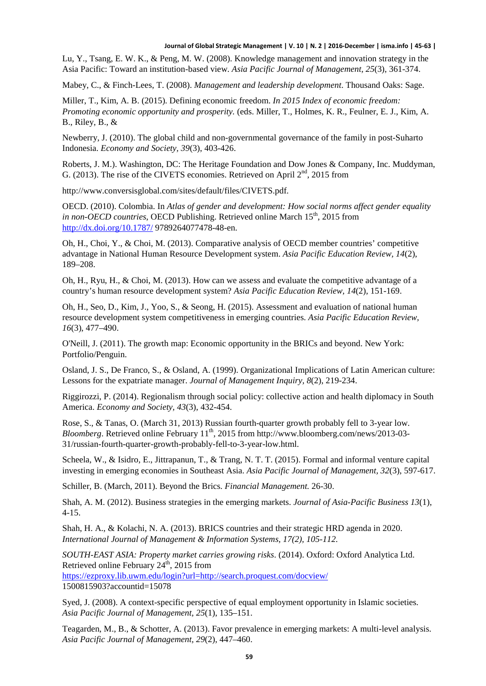Lu, Y., Tsang, E. W. K., & Peng, M. W. (2008). Knowledge management and innovation strategy in the Asia Pacific: Toward an institution-based view. *Asia Pacific Journal of Management, 25*(3), 361-374.

Mabey, C., & Finch-Lees, T. (2008). *Management and leadership development*. Thousand Oaks: Sage.

Miller, T., Kim, A. B. (2015). Defining economic freedom. *In 2015 Index of economic freedom: Promoting economic opportunity and prosperity.* (eds. Miller, T., Holmes, K. R., Feulner, E. J., Kim, A. B., Riley, B., &

Newberry, J. (2010). The global child and non-governmental governance of the family in post-Suharto Indonesia. *Economy and Society, 39*(3), 403-426.

Roberts, J. M.). Washington, DC: The Heritage Foundation and Dow Jones & Company, Inc. Muddyman, G. (2013). The rise of the CIVETS economies. Retrieved on April  $2<sup>nd</sup>$ , 2015 from

http://www.conversisglobal.com/sites/default/files/CIVETS.pdf.

OECD. (2010). Colombia. In *Atlas of gender and development: How social norms affect gender equality in non-OECD countries*, OECD Publishing. Retrieved online March 15<sup>th</sup>, 2015 from <http://dx.doi.org/10.1787/> 9789264077478-48-en.

Oh, H., Choi, Y., & Choi, M. (2013). Comparative analysis of OECD member countries' competitive advantage in National Human Resource Development system. *Asia Pacific Education Review, 14*(2), 189–208.

Oh, H., Ryu, H., & Choi, M. (2013). How can we assess and evaluate the competitive advantage of a country's human resource development system? *Asia Pacific Education Review, 14*(2), 151-169.

Oh, H., Seo, D., Kim, J., Yoo, S., & Seong, H. (2015). Assessment and evaluation of national human resource development system competitiveness in emerging countries. *Asia Pacific Education Review, 16*(3), 477–490.

O'Neill, J. (2011). The growth map: Economic opportunity in the BRICs and beyond. New York: Portfolio/Penguin.

Osland, J. S., De Franco, S., & Osland, A. (1999). Organizational Implications of Latin American culture: Lessons for the expatriate manager. *Journal of Management Inquiry, 8*(2), 219-234.

Riggirozzi, P. (2014). Regionalism through social policy: collective action and health diplomacy in South America. *Economy and Society, 43*(3), 432-454.

Rose, S., & Tanas, O. (March 31, 2013) Russian fourth-quarter growth probably fell to 3-year low. *Bloomberg*. Retrieved online February 11<sup>th</sup>, 2015 from http://www.bloomberg.com/news/2013-03-31/russian-fourth-quarter-growth-probably-fell-to-3-year-low.html.

Scheela, W., & Isidro, E., Jittrapanun, T., & Trang, N. T. T. (2015). Formal and informal venture capital investing in emerging economies in Southeast Asia. *Asia Pacific Journal of Management, 32*(3), 597-617.

Schiller, B. (March, 2011). Beyond the Brics. *Financial Management.* 26-30.

Shah, A. M. (2012). Business strategies in the emerging markets. *Journal of Asia-Pacific Business 13*(1), 4-15.

Shah, H. A., & Kolachi, N. A. (2013). BRICS countries and their strategic HRD agenda in 2020. *International Journal of Management & Information Systems, 17(2), 105-112.*

*SOUTH-EAST ASIA: Property market carries growing risks*. (2014). Oxford: Oxford Analytica Ltd. Retrieved online February  $24<sup>th</sup>$ , 2015 from <https://ezproxy.lib.uwm.edu/login?url=http://search.proquest.com/docview/>

1500815903?accountid=15078

Syed, J. (2008). A context-specific perspective of equal employment opportunity in Islamic societies. *Asia Pacific Journal of Management, 25*(1), 135–151.

Teagarden, M., B., & Schotter, A. (2013). Favor prevalence in emerging markets: A multi-level analysis. *Asia Pacific Journal of Management, 29*(2), 447–460.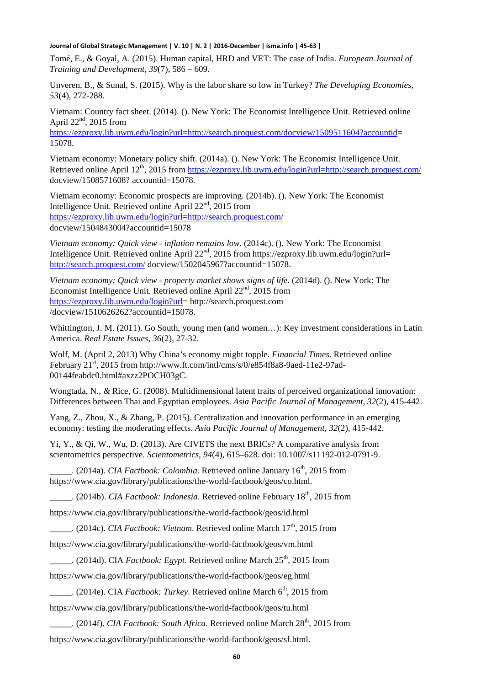Tomé, E., & Goyal, A. (2015). Human capital, HRD and VET: The case of India. *European Journal of Training and Development, 39*(7), 586 – 609.

Unveren, B., & Sunal, S. (2015). Why is the labor share so low in Turkey? *The Developing Economies, 53*(4), 272-288.

Vietnam: Country fact sheet. (2014). (). New York: The Economist Intelligence Unit. Retrieved online April  $22<sup>nd</sup>$ , 2015 from

[https://ezproxy.lib.uwm.edu/login?url=http://search.proquest.com/docview/1509511604?accountid=](https://ezproxy.lib.uwm.edu/login?url=http://search.proquest.com/docview/1509511604?accountid) 15078.

Vietnam economy: Monetary policy shift. (2014a). (). New York: The Economist Intelligence Unit. Retrieved online April 12<sup>th</sup>, 2015 from <https://ezproxy.lib.uwm.edu/login?url=http://search.proquest.com/> docview/1508571608? accountid=15078.

Vietnam economy: Economic prospects are improving. (2014b). (). New York: The Economist Intelligence Unit. Retrieved online April 22<sup>nd</sup>, 2015 from <https://ezproxy.lib.uwm.edu/login?url=http://search.proquest.com/> docview/1504843004?accountid=15078

*Vietnam economy: Quick view - inflation remains low*. (2014c). (). New York: The Economist Intelligence Unit. Retrieved online April  $22<sup>nd</sup>$ , 2015 from https://ezproxy.lib.uwm.edu/login?url= <http://search.proquest.com/> docview/1502045967?accountid=15078.

*Vietnam economy: Quick view - property market shows signs of life*. (2014d). (). New York: The Economist Intelligence Unit. Retrieved online April  $22<sup>nd</sup>$ , 2015 from [https://ezproxy.lib.uwm.edu/login?url=](https://ezproxy.lib.uwm.edu/login?url) http://search.proquest.com /docview/1510626262?accountid=15078.

Whittington, J. M. (2011). Go South, young men (and women…): Key investment considerations in Latin America. *Real Estate Issues, 36*(2), 27-32.

Wolf, M. (April 2, 2013) Why China's economy might topple. *Financial Times*. Retrieved online February 21st, 2015 from http://www.ft.com/intl/cms/s/0/e854f8a8-9aed-11e2-97ad-00144feabdc0.html#axzz2POCH03gC.

Wongtada, N., *&* Rice, G. (2008). Multidimensional latent traits of perceived organizational innovation: Differences between Thai and Egyptian employees. *Asia Pacific Journal of Management, 32*(2), 415-442.

Yang, Z., Zhou, X., & Zhang, P. (2015). Centralization and innovation performance in an emerging economy: testing the moderating effects. *Asia Pacific Journal of Management, 32*(2), 415-442.

Yi, Y., & Qi, W., Wu, D. (2013). Are CIVETS the next BRICs? A comparative analysis from scientometrics perspective. *Scientometrics, 94*(4), 615–628. doi: 10.1007/s11192-012-0791-9.

.. (2014a). *CIA Factbook: Colombia*. Retrieved online January 16<sup>th</sup>, 2015 from https://www.cia.gov/library/publications/the-world-factbook/geos/co.html.

\_\_\_\_\_. (2014b). *CIA Factbook: Indonesia*. Retrieved online February 18th, 2015 from

https://www.cia.gov/library/publications/the-world-factbook/geos/id.html

 $\ldots$  (2014c). *CIA Factbook: Vietnam.* Retrieved online March 17<sup>th</sup>, 2015 from

https://www.cia.gov/library/publications/the-world-factbook/geos/vm.html

 $\therefore$  (2014d). CIA *Factbook: Egypt*. Retrieved online March 25<sup>th</sup>, 2015 from

https://www.cia.gov/library/publications/the-world-factbook/geos/eg.html

\_\_\_\_\_. (2014e). CIA *Factbook: Turkey*. Retrieved online March 6th, 2015 from

https://www.cia.gov/library/publications/the-world-factbook/geos/tu.html

\_\_\_\_\_. (2014f). *CIA Factbook: South Africa*. Retrieved online March 28th, 2015 from

https://www.cia.gov/library/publications/the-world-factbook/geos/sf.html.